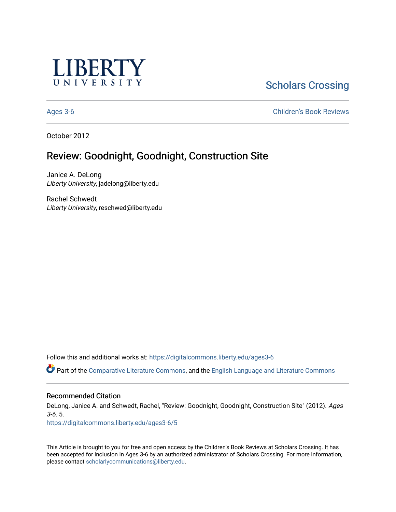

# [Scholars Crossing](https://digitalcommons.liberty.edu/)

[Ages 3-6](https://digitalcommons.liberty.edu/ages3-6) [Children's Book Reviews](https://digitalcommons.liberty.edu/child_bookrev) 

October 2012

## Review: Goodnight, Goodnight, Construction Site

Janice A. DeLong Liberty University, jadelong@liberty.edu

Rachel Schwedt Liberty University, reschwed@liberty.edu

Follow this and additional works at: [https://digitalcommons.liberty.edu/ages3-6](https://digitalcommons.liberty.edu/ages3-6?utm_source=digitalcommons.liberty.edu%2Fages3-6%2F5&utm_medium=PDF&utm_campaign=PDFCoverPages) 

Part of the [Comparative Literature Commons](http://network.bepress.com/hgg/discipline/454?utm_source=digitalcommons.liberty.edu%2Fages3-6%2F5&utm_medium=PDF&utm_campaign=PDFCoverPages), and the [English Language and Literature Commons](http://network.bepress.com/hgg/discipline/455?utm_source=digitalcommons.liberty.edu%2Fages3-6%2F5&utm_medium=PDF&utm_campaign=PDFCoverPages)

#### Recommended Citation

DeLong, Janice A. and Schwedt, Rachel, "Review: Goodnight, Goodnight, Construction Site" (2012). Ages 3-6. 5.

[https://digitalcommons.liberty.edu/ages3-6/5](https://digitalcommons.liberty.edu/ages3-6/5?utm_source=digitalcommons.liberty.edu%2Fages3-6%2F5&utm_medium=PDF&utm_campaign=PDFCoverPages)

This Article is brought to you for free and open access by the Children's Book Reviews at Scholars Crossing. It has been accepted for inclusion in Ages 3-6 by an authorized administrator of Scholars Crossing. For more information, please contact [scholarlycommunications@liberty.edu.](mailto:scholarlycommunications@liberty.edu)